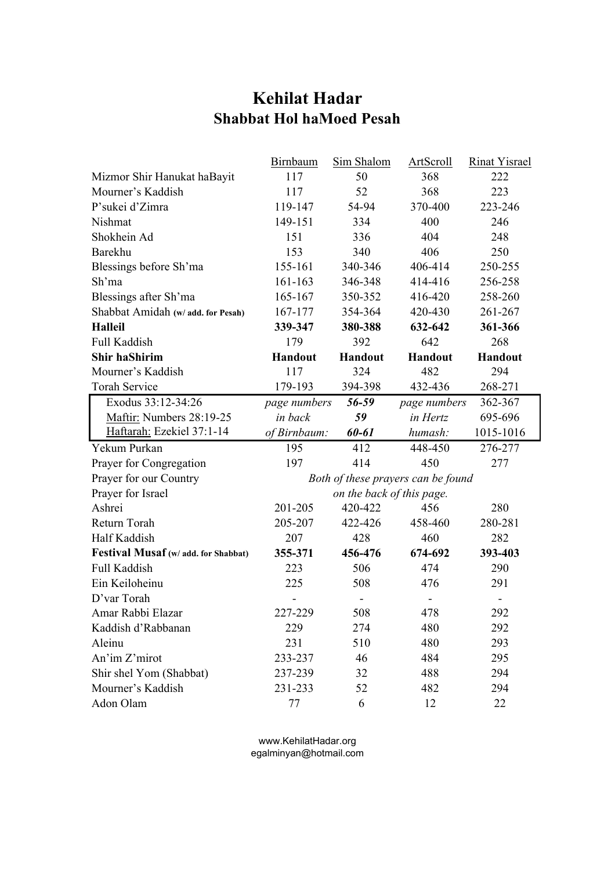## **Kehilat Hadar Shabbat Hol haMoed Pesah**

|                                      | <b>Birnbaum</b>                    | Sim Shalom     | <b>ArtScroll</b>    | <b>Rinat Yisrael</b> |
|--------------------------------------|------------------------------------|----------------|---------------------|----------------------|
| Mizmor Shir Hanukat haBayit          | 117                                | 50             | 368                 | 222                  |
| Mourner's Kaddish                    | 117                                | 52             | 368                 | 223                  |
| P'sukei d'Zimra                      | 119-147                            | 54-94          | 370-400             | 223-246              |
| Nishmat                              | 149-151                            | 334            | 400                 | 246                  |
| Shokhein Ad                          | 151                                | 336            | 404                 | 248                  |
| Barekhu                              | 153                                | 340            | 406                 | 250                  |
| Blessings before Sh'ma               | 155-161                            | 340-346        | 406-414             | 250-255              |
| Sh'ma                                | 161-163                            | 346-348        | 414-416             | 256-258              |
| Blessings after Sh'ma                | 165-167                            | 350-352        | 416-420             | 258-260              |
| Shabbat Amidah (w/ add. for Pesah)   | 167-177                            | 354-364        | 420-430             | 261-267              |
| <b>Halleil</b>                       | 339-347                            | 380-388        | 632-642             | 361-366              |
| Full Kaddish                         | 179                                | 392            | 642                 | 268                  |
| <b>Shir haShirim</b>                 | <b>Handout</b>                     | <b>Handout</b> | <b>Handout</b>      | <b>Handout</b>       |
| Mourner's Kaddish                    | 117                                | 324            | 482                 | 294                  |
| <b>Torah Service</b>                 | 179-193                            | 394-398        | 432-436             | 268-271              |
| Exodus 33:12-34:26                   | <i>page numbers</i>                | 56-59          | <i>page numbers</i> | 362-367              |
| Maftir: Numbers 28:19-25             | in back                            | 59             | in Hertz            | 695-696              |
| Haftarah: Ezekiel 37:1-14            | of Birnbaum:                       | 60-61          | humash:             | 1015-1016            |
| Yekum Purkan                         | 195                                | 412            | 448-450             | 276-277              |
| Prayer for Congregation              | 197                                | 414            | 450                 | 277                  |
| Prayer for our Country               | Both of these prayers can be found |                |                     |                      |
| Prayer for Israel                    | on the back of this page.          |                |                     |                      |
| Ashrei                               | 201-205                            | 420-422        | 456                 | 280                  |
| Return Torah                         | 205-207                            | 422-426        | 458-460             | 280-281              |
| Half Kaddish                         | 207                                | 428            | 460                 | 282                  |
| Festival Musaf (w/ add. for Shabbat) | 355-371                            | 456-476        | 674-692             | 393-403              |
| Full Kaddish                         | 223                                | 506            | 474                 | 290                  |
| Ein Keiloheinu                       | 225                                | 508            | 476                 | 291                  |
| D'var Torah                          |                                    |                |                     |                      |
| Amar Rabbi Elazar                    | 227-229                            | 508            | 478                 | 292                  |
| Kaddish d'Rabbanan                   | 229                                | 274            | 480                 | 292                  |
| Aleinu                               | 231                                | 510            | 480                 | 293                  |
| An'im Z'mirot                        | 233-237                            | 46             | 484                 | 295                  |
| Shir shel Yom (Shabbat)              | 237-239                            | 32             | 488                 | 294                  |
| Mourner's Kaddish                    | 231-233                            | 52             | 482                 | 294                  |
| Adon Olam                            | 77                                 | 6              | 12                  | 22                   |

www.KehilatHadar.org egalminyan@hotmail.com